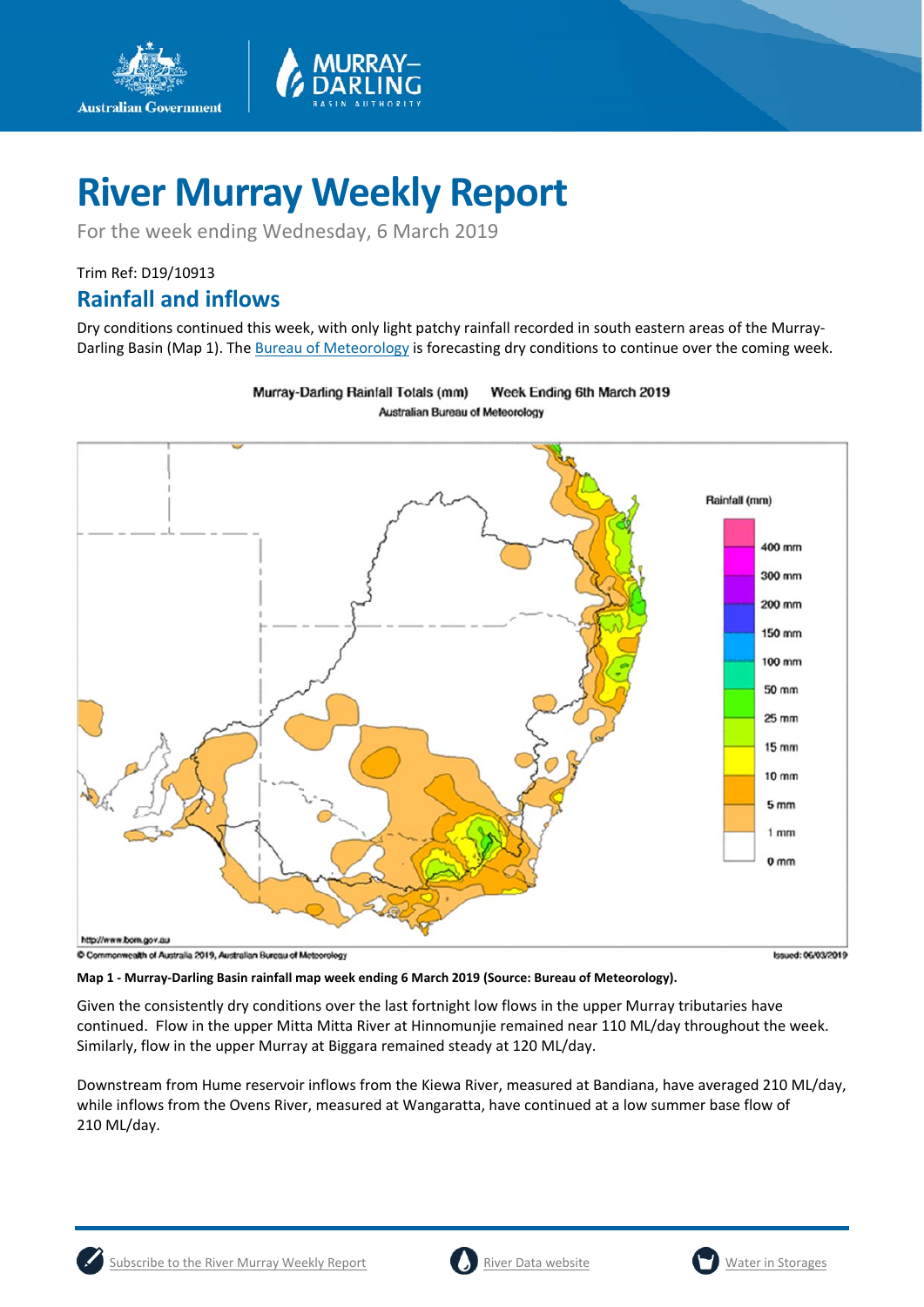

For the week ending Wednesday, 6 March 2019

### Trim Ref: D19/10913 **Rainfall and inflows**

**Australian Government** 

Dry conditions continued this week, with only light patchy rainfall recorded in south eastern areas of the Murray-Darling Basin (Map 1). The Bureau of Meteorology is forecasting dry conditions to continue over the coming week.

> Murray-Darling Rainfall Totals (mm) Week Ending 6th March 2019 **Australian Bureau of Meteorology**



**Map 1 - Murray-Darling Basin rainfall map week ending 6 March 2019 (Source: Bureau of Meteorology).**

Given the consistently dry conditions over the last fortnight low flows in the upper Murray tributaries have continued. Flow in the upper Mitta Mitta River at Hinnomunjie remained near 110 ML/day throughout the week. Similarly, flow in the upper Murray at Biggara remained steady at 120 ML/day.

Downstream from Hume reservoir inflows from the Kiewa River, measured at Bandiana, have averaged 210 ML/day, while inflows from the Ovens River, measured at Wangaratta, have continued at a low summer base flow of 210 ML/day.



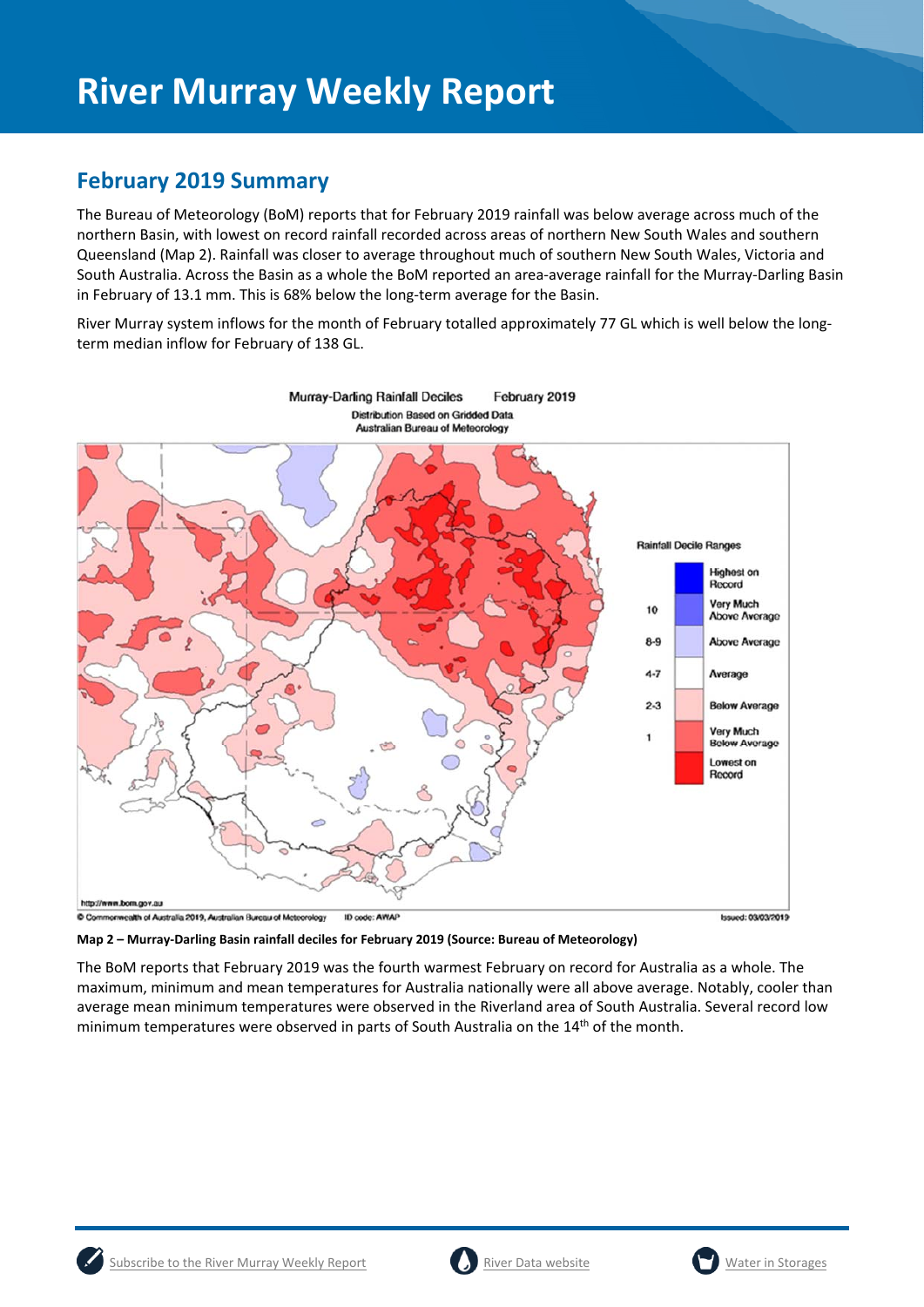### **February 2019 Summary**

The Bureau of Meteorology (BoM) reports that for February 2019 rainfall was below average across much of the northern Basin, with lowest on record rainfall recorded across areas of northern New South Wales and southern Queensland (Map 2). Rainfall was closer to average throughout much of southern New South Wales, Victoria and South Australia. Across the Basin as a whole the BoM reported an area-average rainfall for the Murray-Darling Basin in February of 13.1 mm. This is 68% below the long-term average for the Basin.

River Murray system inflows for the month of February totalled approximately 77 GL which is well below the longterm median inflow for February of 138 GL.



**Map 2 – Murray-Darling Basin rainfall deciles for February 2019 (Source: Bureau of Meteorology)** 

The BoM reports that February 2019 was the fourth warmest February on record for Australia as a whole. The maximum, minimum and mean temperatures for Australia nationally were all above average. Notably, cooler than average mean minimum temperatures were observed in the Riverland area of South Australia. Several record low minimum temperatures were observed in parts of South Australia on the 14<sup>th</sup> of the month.



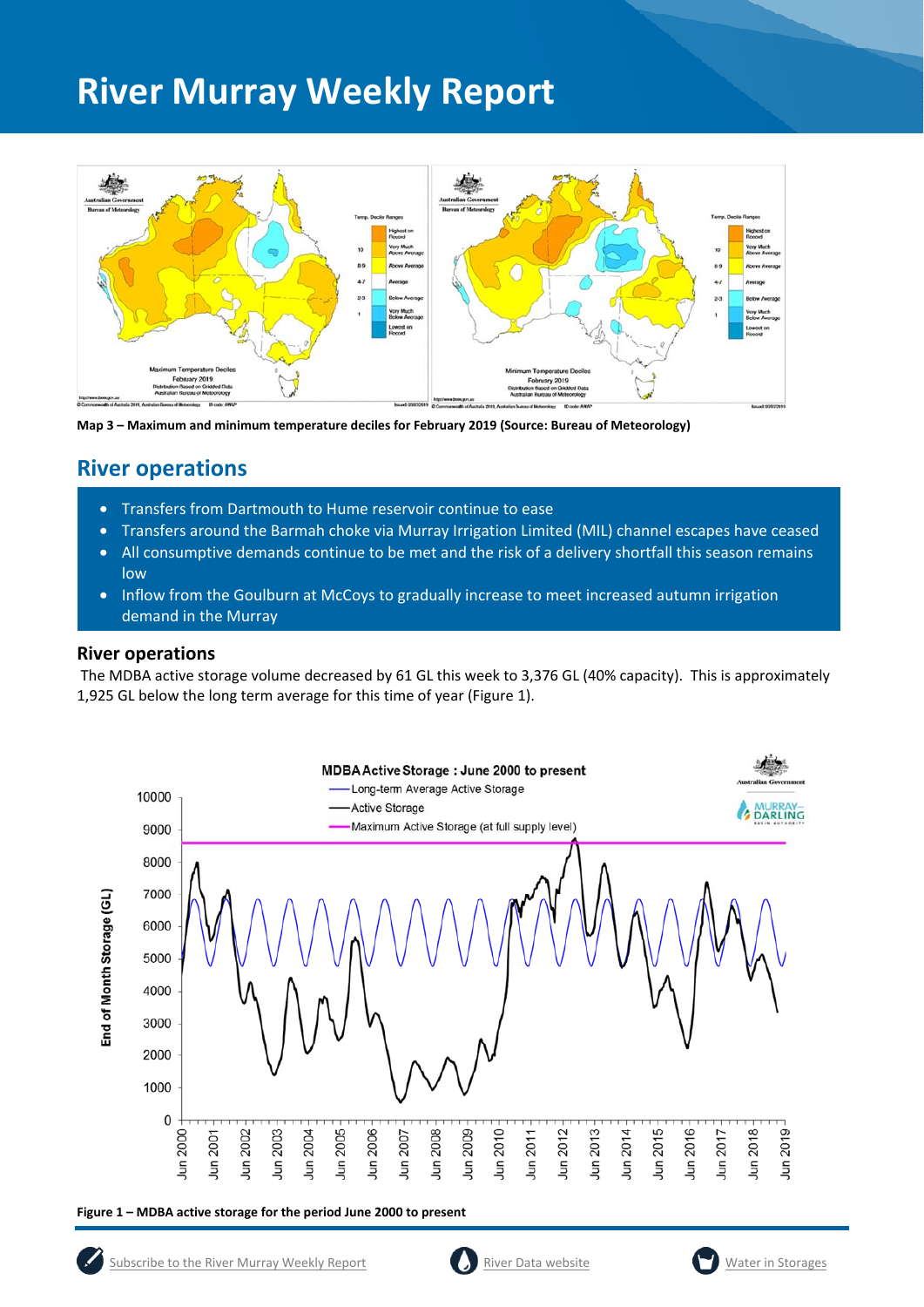

**Map 3 – Maximum and minimum temperature deciles for February 2019 (Source: Bureau of Meteorology)**

### **River operations**

- Transfers from Dartmouth to Hume reservoir continue to ease
- Transfers around the Barmah choke via Murray Irrigation Limited (MIL) channel escapes have ceased
- All consumptive demands continue to be met and the risk of a delivery shortfall this season remains low
- Inflow from the Goulburn at McCoys to gradually increase to meet increased autumn irrigation demand in the Murray

#### **River operations**

 The MDBA active storage volume decreased by 61 GL this week to 3,376 GL (40% capacity). This is approximately 1,925 GL below the long term average for this time of year (Figure 1).







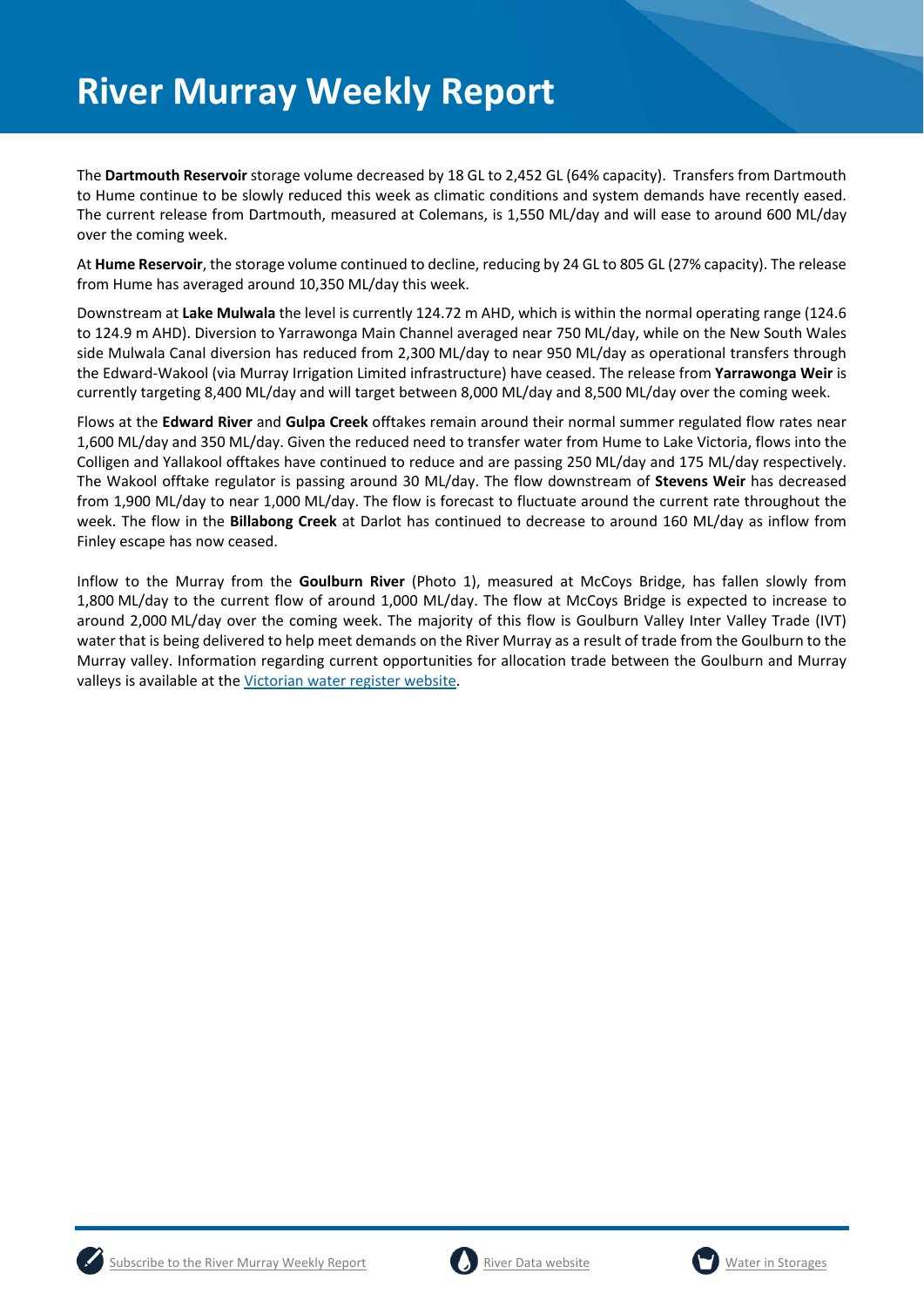The **Dartmouth Reservoir** storage volume decreased by 18 GL to 2,452 GL (64% capacity). Transfers from Dartmouth to Hume continue to be slowly reduced this week as climatic conditions and system demands have recently eased. The current release from Dartmouth, measured at Colemans, is 1,550 ML/day and will ease to around 600 ML/day over the coming week.

At **Hume Reservoir**, the storage volume continued to decline, reducing by 24 GL to 805 GL (27% capacity). The release from Hume has averaged around 10,350 ML/day this week.

Downstream at **Lake Mulwala** the level is currently 124.72 m AHD, which is within the normal operating range (124.6 to 124.9 m AHD). Diversion to Yarrawonga Main Channel averaged near 750 ML/day, while on the New South Wales side Mulwala Canal diversion has reduced from 2,300 ML/day to near 950 ML/day as operational transfers through the Edward-Wakool (via Murray Irrigation Limited infrastructure) have ceased. The release from **Yarrawonga Weir** is currently targeting 8,400 ML/day and will target between 8,000 ML/day and 8,500 ML/day over the coming week.

Flows at the **Edward River** and **Gulpa Creek** offtakes remain around their normal summer regulated flow rates near 1,600 ML/day and 350 ML/day. Given the reduced need to transfer water from Hume to Lake Victoria, flows into the Colligen and Yallakool offtakes have continued to reduce and are passing 250 ML/day and 175 ML/day respectively. The Wakool offtake regulator is passing around 30 ML/day. The flow downstream of **Stevens Weir** has decreased from 1,900 ML/day to near 1,000 ML/day. The flow is forecast to fluctuate around the current rate throughout the week. The flow in the **Billabong Creek** at Darlot has continued to decrease to around 160 ML/day as inflow from Finley escape has now ceased.

Inflow to the Murray from the **Goulburn River** (Photo 1), measured at McCoys Bridge, has fallen slowly from 1,800 ML/day to the current flow of around 1,000 ML/day. The flow at McCoys Bridge is expected to increase to around 2,000 ML/day over the coming week. The majority of this flow is Goulburn Valley Inter Valley Trade (IVT) water that is being delivered to help meet demands on the River Murray as a result of trade from the Goulburn to the Murray valley. Information regarding current opportunities for allocation trade between the Goulburn and Murray valleys is available at the Victorian water register website.





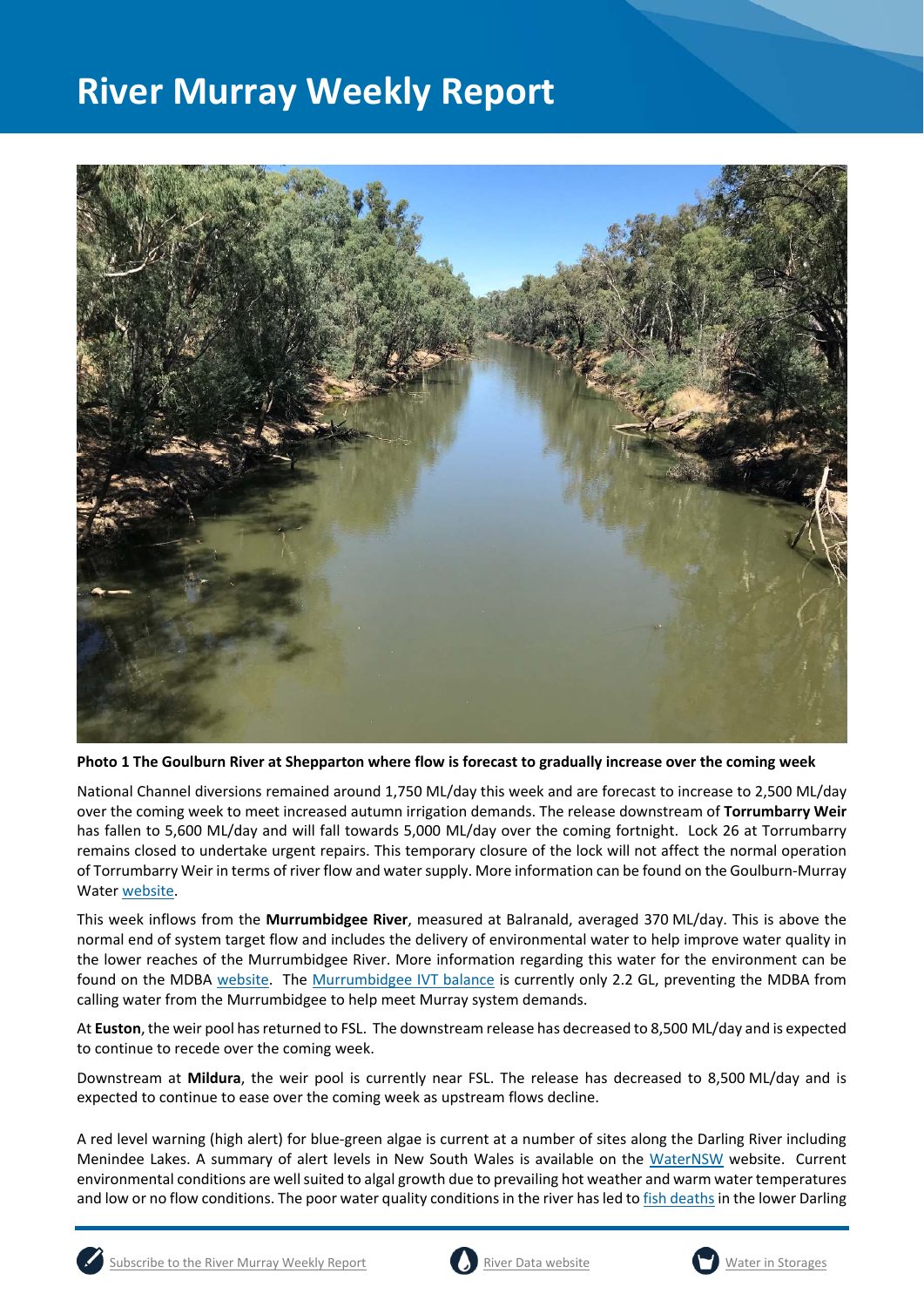

**Photo 1 The Goulburn River at Shepparton where flow is forecast to gradually increase over the coming week** 

National Channel diversions remained around 1,750 ML/day this week and are forecast to increase to 2,500 ML/day over the coming week to meet increased autumn irrigation demands. The release downstream of **Torrumbarry Weir** has fallen to 5,600 ML/day and will fall towards 5,000 ML/day over the coming fortnight. Lock 26 at Torrumbarry remains closed to undertake urgent repairs. This temporary closure of the lock will not affect the normal operation of Torrumbarry Weir in terms of river flow and water supply. More information can be found on the Goulburn-Murray Water website.

This week inflows from the **Murrumbidgee River**, measured at Balranald, averaged 370 ML/day. This is above the normal end of system target flow and includes the delivery of environmental water to help improve water quality in the lower reaches of the Murrumbidgee River. More information regarding this water for the environment can be found on the MDBA website. The Murrumbidgee IVT balance is currently only 2.2 GL, preventing the MDBA from calling water from the Murrumbidgee to help meet Murray system demands.

At **Euston**, the weir pool has returned to FSL. The downstream release has decreased to 8,500 ML/day and is expected to continue to recede over the coming week.

Downstream at **Mildura**, the weir pool is currently near FSL. The release has decreased to 8,500 ML/day and is expected to continue to ease over the coming week as upstream flows decline.

A red level warning (high alert) for blue-green algae is current at a number of sites along the Darling River including Menindee Lakes. A summary of alert levels in New South Wales is available on the WaterNSW website. Current environmental conditions are well suited to algal growth due to prevailing hot weather and warm water temperatures and low or no flow conditions. The poor water quality conditions in the river has led to fish deaths in the lower Darling





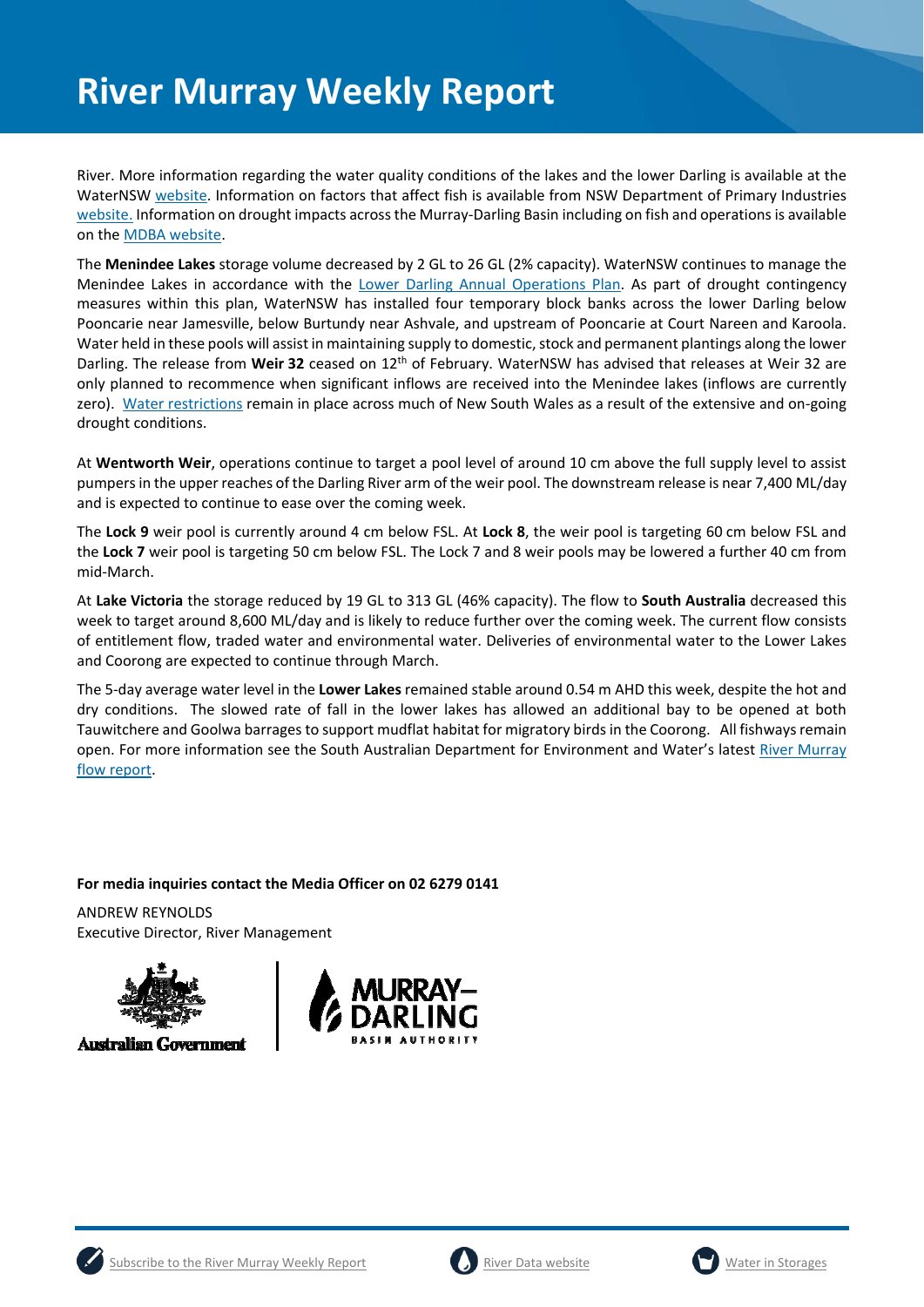River. More information regarding the water quality conditions of the lakes and the lower Darling is available at the WaterNSW website. Information on factors that affect fish is available from NSW Department of Primary Industries website. Information on drought impacts across the Murray-Darling Basin including on fish and operations is available on the MDBA website.

The **Menindee Lakes** storage volume decreased by 2 GL to 26 GL (2% capacity). WaterNSW continues to manage the Menindee Lakes in accordance with the Lower Darling Annual Operations Plan. As part of drought contingency measures within this plan, WaterNSW has installed four temporary block banks across the lower Darling below Pooncarie near Jamesville, below Burtundy near Ashvale, and upstream of Pooncarie at Court Nareen and Karoola. Water held in these pools will assist in maintaining supply to domestic, stock and permanent plantings along the lower Darling. The release from Weir 32 ceased on 12<sup>th</sup> of February. WaterNSW has advised that releases at Weir 32 are only planned to recommence when significant inflows are received into the Menindee lakes (inflows are currently zero). Water restrictions remain in place across much of New South Wales as a result of the extensive and on-going drought conditions.

At **Wentworth Weir**, operations continue to target a pool level of around 10 cm above the full supply level to assist pumpers in the upper reaches of the Darling River arm of the weir pool. The downstream release is near 7,400 ML/day and is expected to continue to ease over the coming week.

The **Lock 9** weir pool is currently around 4 cm below FSL. At **Lock 8**, the weir pool is targeting 60 cm below FSL and the **Lock 7** weir pool is targeting 50 cm below FSL. The Lock 7 and 8 weir pools may be lowered a further 40 cm from mid-March.

At **Lake Victoria** the storage reduced by 19 GL to 313 GL (46% capacity). The flow to **South Australia** decreased this week to target around 8,600 ML/day and is likely to reduce further over the coming week. The current flow consists of entitlement flow, traded water and environmental water. Deliveries of environmental water to the Lower Lakes and Coorong are expected to continue through March.

The 5-day average water level in the **Lower Lakes** remained stable around 0.54 m AHD this week, despite the hot and dry conditions. The slowed rate of fall in the lower lakes has allowed an additional bay to be opened at both Tauwitchere and Goolwa barrages to support mudflat habitat for migratory birds in the Coorong. All fishways remain open. For more information see the South Australian Department for Environment and Water's latest River Murray flow report.

### **For media inquiries contact the Media Officer on 02 6279 0141**

ANDREW REYNOLDS Executive Director, River Management



**Australian Government** 







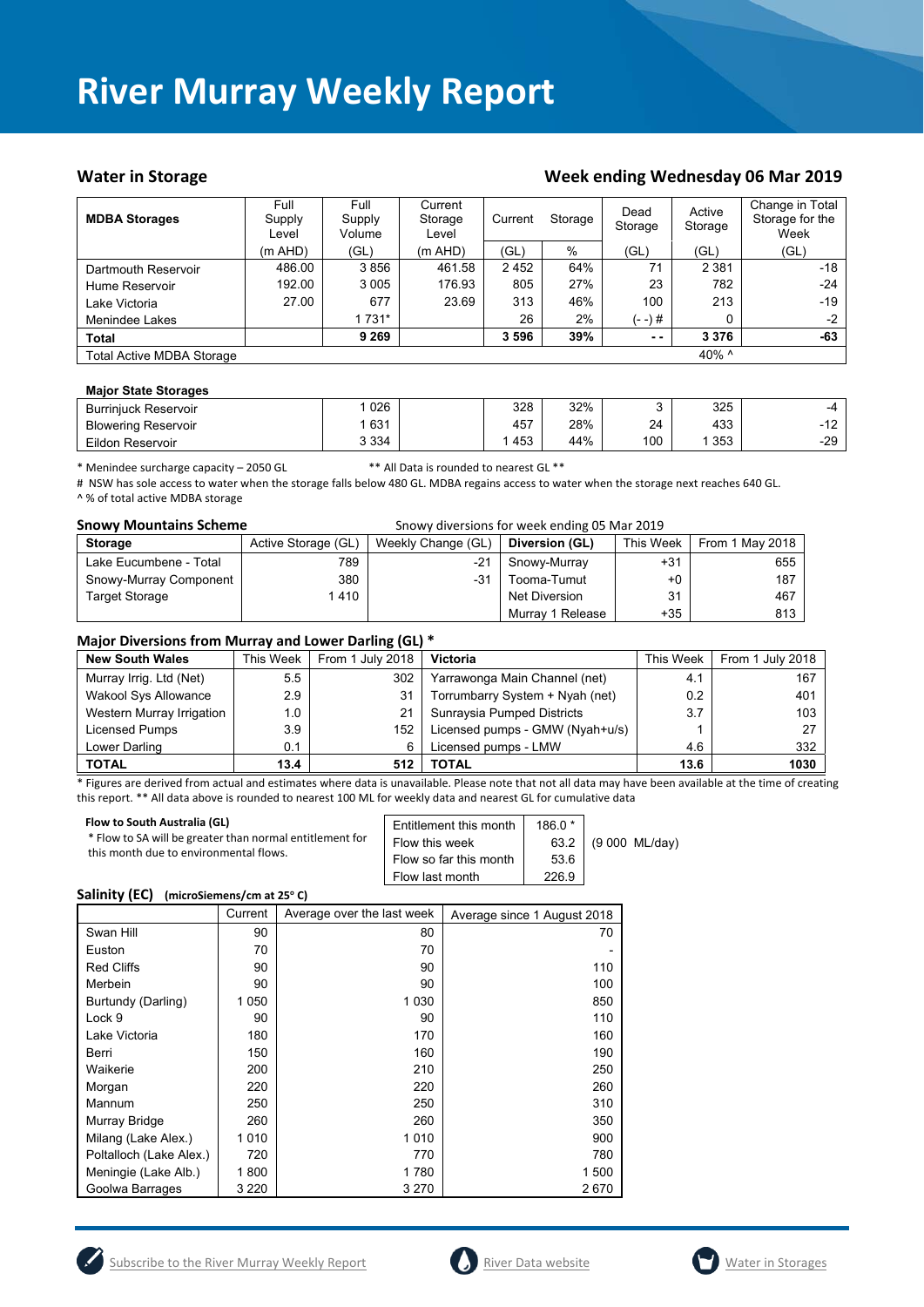#### Water in Storage Water in Storage Week ending Wednesday 06 Mar 2019

| <b>MDBA Storages</b>             | Full<br>Supply<br>Level | Full<br>Supply<br>Volume | Current<br>Storage<br>Level | Storage<br>Current |     | Dead<br>Storage |         | Change in Total<br>Storage for the<br>Week |
|----------------------------------|-------------------------|--------------------------|-----------------------------|--------------------|-----|-----------------|---------|--------------------------------------------|
|                                  | (m AHD)                 | (GL)                     | $(m$ AHD)                   | 'GL)               | %   | (GL)            | (GL)    | (GL)                                       |
| Dartmouth Reservoir              | 486.00                  | 3856                     | 461.58                      | 2452               | 64% | 71              | 2 3 8 1 | $-18$                                      |
| Hume Reservoir                   | 192.00                  | 3 0 0 5                  | 176.93                      | 805                | 27% | 23              | 782     | $-24$                                      |
| Lake Victoria                    | 27.00                   | 677                      | 23.69                       | 313                | 46% | 100             | 213     | -19                                        |
| Menindee Lakes                   |                         | 1 7 3 1 *                |                             | 26                 | 2%  | (- -)#          | 0       | $-2$                                       |
| <b>Total</b>                     |                         | 9 2 6 9                  |                             | 3596               | 39% | $\sim$ $\sim$   | 3 3 7 6 | -63                                        |
| <b>Total Active MDBA Storage</b> |                         |                          |                             |                    |     |                 | 40% ^   |                                            |

#### **Major State Storages**

| <b>Burriniuck Reservoir</b> | 026     | 328 | 32% |     | 325 | -4                   |
|-----------------------------|---------|-----|-----|-----|-----|----------------------|
| <b>Blowering Reservoir</b>  | 631     | 457 | 28% | 24  | 433 | $1^{\circ}$<br>$-14$ |
| Eildon Reservoir            | 3 3 3 4 | 453 | 44% | 100 | 353 | $-29$                |

\* Menindee surcharge capacity – 2050 GL \*\* All Data is rounded to nearest GL \*\*

# NSW has sole access to water when the storage falls below 480 GL. MDBA regains access to water when the storage next reaches 640 GL. ^ % of total active MDBA storage

| <b>Snowy Mountains Scheme</b> | Snowy diversions for week ending 05 Mar 2019 |                    |                  |           |                 |  |
|-------------------------------|----------------------------------------------|--------------------|------------------|-----------|-----------------|--|
| <b>Storage</b>                | Active Storage (GL)                          | Weekly Change (GL) | Diversion (GL)   | This Week | From 1 May 2018 |  |
| Lake Eucumbene - Total        | 789                                          | -21                | Snowy-Murray     | $+31$     | 655             |  |
| Snowy-Murray Component        | 380                                          | -31                | Tooma-Tumut      | $+0$      | 187             |  |
| <b>Target Storage</b>         | 1 410                                        |                    | Net Diversion    | 31        | 467             |  |
|                               |                                              |                    | Murray 1 Release | $+35$     | 813             |  |

#### **Major Diversions from Murray and Lower Darling (GL) \***

|                             |           | . .              |                                 |           |                  |
|-----------------------------|-----------|------------------|---------------------------------|-----------|------------------|
| <b>New South Wales</b>      | This Week | From 1 July 2018 | <b>Victoria</b>                 | This Week | From 1 July 2018 |
| Murray Irrig. Ltd (Net)     | 5.5       | 302              | Yarrawonga Main Channel (net)   | 4.1       | 167              |
| <b>Wakool Sys Allowance</b> | 2.9       | 31               | Torrumbarry System + Nyah (net) | 0.2       | 401              |
| Western Murray Irrigation   | 1.0       | 21               | Sunraysia Pumped Districts      | 3.7       | 103              |
| Licensed Pumps              | 3.9       | 152              | Licensed pumps - GMW (Nyah+u/s) |           | 27               |
| Lower Darling               | 0.1       | 6                | Licensed pumps - LMW            | 4.6       | 332              |
| <b>TOTAL</b>                | 13.4      | 512              | TOTAL                           | 13.6      | 1030             |

\* Figures are derived from actual and estimates where data is unavailable. Please note that not all data may have been available at the time of creating this report. \*\* All data above is rounded to nearest 100 ML for weekly data and nearest GL for cumulative data

| Flow to South Australia (GL)                             | Entitlement this month | $186.0*$ | (9 000 ML/day) |
|----------------------------------------------------------|------------------------|----------|----------------|
| * Flow to SA will be greater than normal entitlement for | Flow this week         | 63.2     |                |
| this month due to environmental flows.                   | Flow so far this month | 53.6     |                |
|                                                          | Flow last month        | 226.9    |                |

#### Salinity (EC) (microSiemens/cm at 25°C)

|                         | Current | Average over the last week | Average since 1 August 2018 |
|-------------------------|---------|----------------------------|-----------------------------|
| Swan Hill               | 90      | 80                         | 70                          |
| Euston                  | 70      | 70                         |                             |
| <b>Red Cliffs</b>       | 90      | 90                         | 110                         |
| Merbein                 | 90      | 90                         | 100                         |
| Burtundy (Darling)      | 1050    | 1 0 3 0                    | 850                         |
| Lock 9                  | 90      | 90                         | 110                         |
| Lake Victoria           | 180     | 170                        | 160                         |
| Berri                   | 150     | 160                        | 190                         |
| Waikerie                | 200     | 210                        | 250                         |
| Morgan                  | 220     | 220                        | 260                         |
| Mannum                  | 250     | 250                        | 310                         |
| Murray Bridge           | 260     | 260                        | 350                         |
| Milang (Lake Alex.)     | 1010    | 1010                       | 900                         |
| Poltalloch (Lake Alex.) | 720     | 770                        | 780                         |
| Meningie (Lake Alb.)    | 1800    | 1780                       | 1 500                       |
| Goolwa Barrages         | 3 2 2 0 | 3 2 7 0                    | 2670                        |



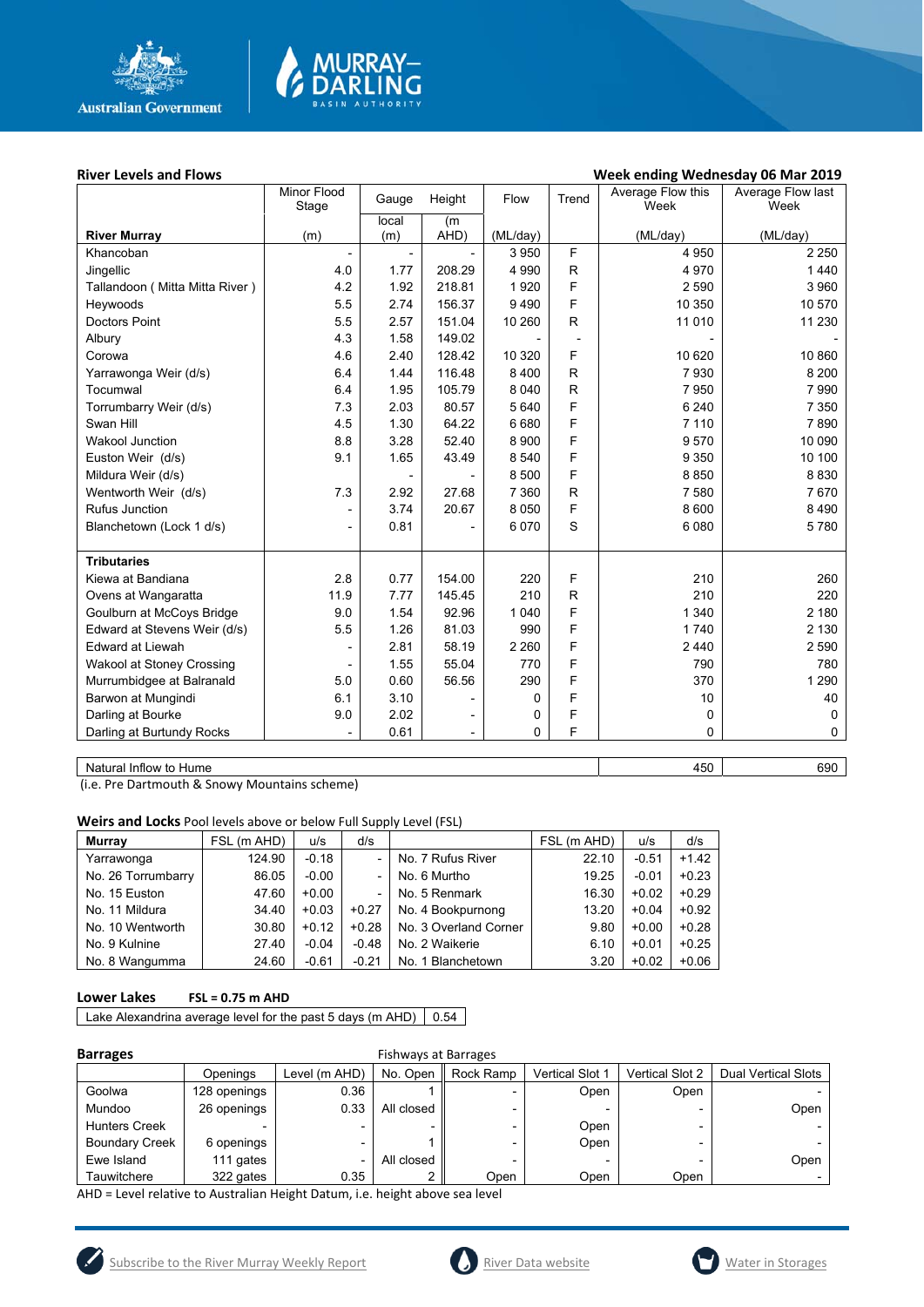

# MURRAY<mark>–</mark><br>DARLING

#### River Levels and Flows **River Levels and Flows Week ending Wednesday 06 Mar 2019**

|                                  | Minor Flood              | Gauge                    | Height                   | Flow     | Trend        | Average Flow this | Average Flow last |
|----------------------------------|--------------------------|--------------------------|--------------------------|----------|--------------|-------------------|-------------------|
|                                  | Stage                    |                          |                          |          |              | Week              | Week              |
| <b>River Murray</b>              | (m)                      | local<br>(m)             | (m)<br>AHD)              | (ML/day) |              | (ML/day)          | (ML/day)          |
| Khancoban                        | $\overline{\phantom{a}}$ | $\overline{a}$           |                          | 3 9 5 0  | F            | 4 9 5 0           | 2 2 5 0           |
| Jingellic                        | 4.0                      | 1.77                     | 208.29                   | 4 9 9 0  | $\mathsf{R}$ | 4 9 7 0           | 1440              |
| Tallandoon ( Mitta Mitta River ) | 4.2                      | 1.92                     | 218.81                   | 1920     | F            | 2 5 9 0           | 3 9 6 0           |
| Heywoods                         | 5.5                      | 2.74                     | 156.37                   | 9490     | F            | 10 350            | 10 570            |
| <b>Doctors Point</b>             | 5.5                      | 2.57                     | 151.04                   | 10 260   | R            | 11 010            | 11 230            |
| Albury                           | 4.3                      | 1.58                     | 149.02                   |          |              |                   |                   |
| Corowa                           | 4.6                      | 2.40                     | 128.42                   | 10 3 20  | F            | 10 620            | 10 860            |
| Yarrawonga Weir (d/s)            | 6.4                      | 1.44                     | 116.48                   | 8 4 0 0  | R            | 7930              | 8 2 0 0           |
| Tocumwal                         | 6.4                      | 1.95                     | 105.79                   | 8 0 4 0  | $\mathsf{R}$ | 7 9 5 0           | 7990              |
| Torrumbarry Weir (d/s)           | 7.3                      | 2.03                     | 80.57                    | 5 6 4 0  | F            | 6 2 4 0           | 7 3 5 0           |
| Swan Hill                        | 4.5                      | 1.30                     | 64.22                    | 6 6 8 0  | F            | 7 1 1 0           | 7890              |
| <b>Wakool Junction</b>           | 8.8                      | 3.28                     | 52.40                    | 8 9 0 0  | F            | 9570              | 10 090            |
| Euston Weir (d/s)                | 9.1                      | 1.65                     | 43.49                    | 8 5 4 0  | F            | 9 3 5 0           | 10 100            |
| Mildura Weir (d/s)               |                          | $\overline{\phantom{0}}$ | $\overline{a}$           | 8 500    | F            | 8850              | 8830              |
| Wentworth Weir (d/s)             | 7.3                      | 2.92                     | 27.68                    | 7 3 6 0  | $\mathsf R$  | 7 5 8 0           | 7670              |
| Rufus Junction                   | $\overline{a}$           | 3.74                     | 20.67                    | 8 0 5 0  | F            | 8 600             | 8 4 9 0           |
| Blanchetown (Lock 1 d/s)         | $\overline{a}$           | 0.81                     |                          | 6 0 7 0  | S            | 6 0 8 0           | 5780              |
|                                  |                          |                          |                          |          |              |                   |                   |
| <b>Tributaries</b>               |                          |                          |                          |          |              |                   |                   |
| Kiewa at Bandiana                | 2.8                      | 0.77                     | 154.00                   | 220      | F            | 210               | 260               |
| Ovens at Wangaratta              | 11.9                     | 7.77                     | 145.45                   | 210      | $\mathsf{R}$ | 210               | 220               |
| Goulburn at McCoys Bridge        | 9.0                      | 1.54                     | 92.96                    | 1 0 4 0  | F            | 1 3 4 0           | 2 1 8 0           |
| Edward at Stevens Weir (d/s)     | 5.5                      | 1.26                     | 81.03                    | 990      | F            | 1740              | 2 1 3 0           |
| <b>Edward at Liewah</b>          | -                        | 2.81                     | 58.19                    | 2 2 6 0  | F            | 2 4 4 0           | 2 5 9 0           |
| Wakool at Stoney Crossing        |                          | 1.55                     | 55.04                    | 770      | F            | 790               | 780               |
| Murrumbidgee at Balranald        | 5.0                      | 0.60                     | 56.56                    | 290      | F            | 370               | 1 2 9 0           |
| Barwon at Mungindi               | 6.1                      | 3.10                     |                          | $\Omega$ | F            | 10                | 40                |
| Darling at Bourke                | 9.0                      | 2.02                     | -                        | 0        | F            | 0                 | 0                 |
| Darling at Burtundy Rocks        |                          | 0.61                     | $\overline{\phantom{0}}$ | 0        | F            | 0                 | 0                 |
|                                  |                          |                          |                          |          |              |                   |                   |

Natural Inflow to Hume 690

(i.e. Pre Dartmouth & Snowy Mountains scheme)

**Weirs and Locks** Pool levels above or below Full Supply Level (FSL)

| <b>Murrav</b>      | FSL (m AHD) | u/s     | d/s                      |                       | FSL (m AHD) | u/s     | d/s     |
|--------------------|-------------|---------|--------------------------|-----------------------|-------------|---------|---------|
| Yarrawonga         | 124.90      | $-0.18$ |                          | No. 7 Rufus River     | 22.10       | $-0.51$ | $+1.42$ |
| No. 26 Torrumbarry | 86.05       | $-0.00$ | ۰.                       | No. 6 Murtho          | 19.25       | $-0.01$ | $+0.23$ |
| No. 15 Euston      | 47.60       | $+0.00$ | $\overline{\phantom{a}}$ | No. 5 Renmark         | 16.30       | $+0.02$ | $+0.29$ |
| No. 11 Mildura     | 34.40       | $+0.03$ | $+0.27$                  | No. 4 Bookpurnong     | 13.20       | $+0.04$ | $+0.92$ |
| No. 10 Wentworth   | 30.80       | $+0.12$ | $+0.28$                  | No. 3 Overland Corner | 9.80        | $+0.00$ | $+0.28$ |
| No. 9 Kulnine      | 27.40       | $-0.04$ | $-0.48$                  | No. 2 Waikerie        | 6.10        | $+0.01$ | $+0.25$ |
| No. 8 Wangumma     | 24.60       | $-0.61$ | $-0.21$                  | No. 1 Blanchetown     | 3.20        | $+0.02$ | $+0.06$ |

#### **Lower Lakes FSL = 0.75 m AHD**

Lake Alexandrina average level for the past 5 days (m AHD)  $\Big| 0.54 \Big|$ 

#### **Barrages Exercise 2018 Exercise 2018 Fishways at Barrages**

| -------               |              |                          |            |           |                 |                 |                            |
|-----------------------|--------------|--------------------------|------------|-----------|-----------------|-----------------|----------------------------|
|                       | Openings     | Level (m AHD)            | No. Open   | Rock Ramp | Vertical Slot 1 | Vertical Slot 2 | <b>Dual Vertical Slots</b> |
| Goolwa                | 128 openings | 0.36                     |            |           | Open            | Open            |                            |
| Mundoo                | 26 openings  | 0.33                     | All closed |           |                 |                 | Open                       |
| <b>Hunters Creek</b>  |              |                          |            |           | Open            |                 |                            |
| <b>Boundary Creek</b> | 6 openings   | $\overline{\phantom{0}}$ |            |           | Open            |                 |                            |
| Ewe Island            | 111 gates    |                          | All closed |           |                 |                 | Open                       |
| Tauwitchere           | 322 gates    | 0.35                     |            | Open      | Open            | Open            |                            |

AHD = Level relative to Australian Height Datum, i.e. height above sea level